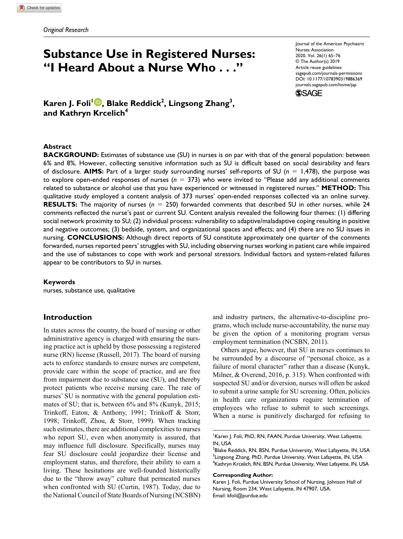# **Substance Use in Registered Nurses: "I Heard About a Nurse Who . . ."**

Journal of the American Psychiatric Nurses Association 2020, Vol. 26(1) 65–76 © The Author(s) 2019 Article reuse guidelines: [sagepub.com/journals-permissions](https://us.sagepub.com/en-us/journals-permissions) https://doi.org/10.1177/1078390319886369 DOI: 10.1177/1078390319886369 [journals.sagepub.com/home/jap](http://journals.sagepub.com/home/jap) **SSAGE** 

**Karen J. Foli1 , Blake Reddick2 , Lingsong Zhang3 , and Kathryn Krcelich4**

#### **Abstract**

**BACKGROUND:** Estimates of substance use (SU) in nurses is on par with that of the general population: between 6% and 8%. However, collecting sensitive information such as SU is difficult based on social desirability and fears of disclosure. **AIMS:** Part of a larger study surrounding nurses' self-reports of SU (*n* = 1,478), the purpose was to explore open-ended responses of nurses (*n* = 373) who were invited to "Please add any additional comments related to substance or alcohol use that you have experienced or witnessed in registered nurses." **METHOD:** This qualitative study employed a content analysis of 373 nurses' open-ended responses collected via an online survey. **RESULTS:** The majority of nurses (*n* = 250) forwarded comments that described SU in *other* nurses, while 24 comments reflected the nurse's past or current SU. Content analysis revealed the following four themes: (1) differing social network proximity to SU; (2) individual process: vulnerability to adaptive/maladaptive coping resulting in positive and negative outcomes; (3) bedside, system, and organizational spaces and effects; and (4) there are no SU issues in nursing. **CONCLUSIONS:** Although direct reports of SU constitute approximately one quarter of the comments forwarded, nurses reported peers' struggles with SU, including observing nurses working in patient care while impaired and the use of substances to cope with work and personal stressors. Individual factors and system-related failures appear to be contributors to SU in nurses.

#### **Keywords**

nurses, substance use, qualitative

### **Introduction**

In states across the country, the board of nursing or other administrative agency is charged with ensuring the nursing practice act is upheld by those possessing a registered nurse (RN) license (Russell, 2017). The board of nursing acts to enforce standards to ensure nurses are competent, provide care within the scope of practice, and are free from impairment due to substance use (SU), and thereby protect patients who receive nursing care. The rate of nurses' SU is normative with the general population estimates of SU; that is, between 6% and 8% (Kunyk, 2015; Trinkoff, Eaton, & Anthony, 1991; Trinkoff & Storr, 1998; Trinkoff, Zhou, & Storr, 1999). When tracking such estimates, there are additional complexities to nurses who report SU, even when anonymity is assured, that may influence full disclosure. Specifically, nurses may fear SU disclosure could jeopardize their license and employment status, and therefore, their ability to earn a living. These hesitations are well-founded historically due to the "throw away" culture that permeated nurses when confronted with SU (Curtin, 1987). Today, due to the National Council of State Boards of Nursing (NCSBN)

and industry partners, the alternative-to-discipline programs, which include nurse-accountability, the nurse may be given the option of a monitoring program versus employment termination (NCSBN, 2011).

Others argue, however, that SU in nurses continues to be surrounded by a discourse of "personal choice, as a failure of moral character" rather than a disease (Kunyk, Milner, & Overend, 2016, p. 315). When confronted with suspected SU and/or diversion, nurses will often be asked to submit a urine sample for SU screening. Often, policies in health care organizations require termination of employees who refuse to submit to such screenings. When a nurse is punitively discharged for refusing to

#### **Corresponding Author:**

Karen J. Foli, PhD, RN, FAAN, Purdue University, West Lafayette, IN, USA

 $^2$ Blake Reddick, RN, BSN, Purdue University, West Lafayette, IN, USA  $^3$ Lingsong Zhang, PhD, Purdue University, West Lafayette, IN, USA 4 Kathryn Krcelich, RN, BSN, Purdue University, West Lafayette, IN, USA

Karen J. Foli, Purdue University School of Nursing, Johnson Hall of Nursing, Room 234, West Lafayette, IN 47907, USA. Email: [kfoli@purdue.edu](mailto:kfoli@purdue.edu)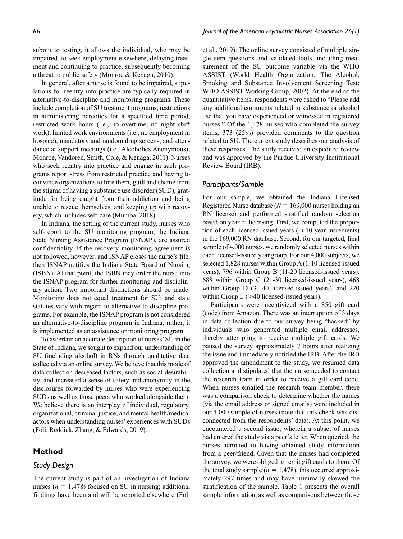submit to testing, it allows the individual, who may be impaired, to seek employment elsewhere, delaying treatment and continuing to practice, subsequently becoming a threat to public safety (Monroe & Kenaga, 2010).

In general, after a nurse is found to be impaired, stipulations for reentry into practice are typically required in alternative-to-discipline and monitoring programs. These include completion of SU treatment programs, restrictions in administering narcotics for a specified time period, restricted work hours (i.e., no overtime, no night shift work), limited work environments (i.e., no employment in hospice), mandatory and random drug screens, and attendance at support meetings (i.e., Alcoholics Anonymous); Monroe, Vandoren, Smith, Cole, & Kenaga, 2011). Nurses who seek reentry into practice and engage in such programs report stress from restricted practice and having to convince organizations to hire them, guilt and shame from the stigma of having a substance use disorder (SUD), gratitude for being caught from their addiction and being unable to rescue themselves, and keeping up with recovery, which includes self-care (Mumba, 2018).

In Indiana, the setting of the current study, nurses who self-report to the SU monitoring program, the Indiana State Nursing Assistance Program (ISNAP), are assured confidentiality. If the recovery monitoring agreement is not followed, however, and ISNAP closes the nurse's file, then ISNAP notifies the Indiana State Board of Nursing (ISBN). At that point, the ISBN may order the nurse into the ISNAP program for further monitoring and disciplinary action. Two important distinctions should be made: Monitoring does not equal treatment for SU; and state statutes vary with regard to alternative-to-discipline programs. For example, the ISNAP program is not considered an alternative-to-discipline program in Indiana; rather, it is implemented as an assistance or monitoring program.

To ascertain an accurate description of nurses' SU in the State of Indiana, we sought to expand our understanding of SU (including alcohol) in RNs through qualitative data collected via an online survey. We believe that this mode of data collection decreased factors, such as social desirability, and increased a sense of safety and anonymity in the disclosures forwarded by nurses who were experiencing SUDs as well as those peers who worked alongside them. We believe there is an interplay of individual, regulatory, organizational, criminal justice, and mental health/medical actors when understanding nurses' experiences with SUDs (Foli, Reddick, Zhang, & Edwards, 2019).

### **Method**

### *Study Design*

The current study is part of an investigation of Indiana nurses ( $n = 1,478$ ) focused on SU in nursing; additional findings have been and will be reported elsewhere (Foli et al., 2019). The online survey consisted of multiple single-item questions and validated tools, including measurement of the SU outcome variable via the WHO ASSIST (World Health Organization: The Alcohol, Smoking and Substance Involvement Screening Test; WHO ASSIST Working Group, 2002). At the end of the quantitative items, respondents were asked to "Please add any additional comments related to substance or alcohol use that you have experienced or witnessed in registered nurses." Of the 1,478 nurses who completed the survey items, 373 (25%) provided comments to the question related to SU. The current study describes our analysis of these responses. The study received an expedited review and was approved by the Purdue University Institutional Review Board (IRB).

### *Participants/Sample*

For our sample, we obtained the Indiana Licensed Registered Nurse database (*N* = 169,000 nurses holding an RN license) and performed stratified random selection based on year of licensing. First, we computed the proportion of each licensed-issued years (in 10-year increments) in the 169,000 RN database. Second, for our targeted, final sample of 4,000 nurses, we randomly selected nurses within each licensed-issued year group. For our 4,000 subjects, we selected 1,828 nurses within Group A (1-10 licensed-issued years), 796 within Group B (11-20 licensed-issued years), 688 within Group C (21-30 licensed-issued years), 468 within Group D (31-40 licensed-issued years), and 220 within Group  $E$  ( $>40$  licensed-issued years).

Participants were incentivized with a \$50 gift card (code) from Amazon. There was an interruption of 3 days in data collection due to our survey being "hacked" by individuals who generated multiple email addresses, thereby attempting to receive multiple gift cards. We paused the survey approximately 7 hours after realizing the issue and immediately notified the IRB. After the IRB approved the amendment to the study, we resumed data collection and stipulated that the nurse needed to contact the research team in order to receive a gift card code. When nurses emailed the research team member, there was a comparison check to determine whether the names (via the email address or signed emails) were included in our 4,000 sample of nurses (note that this check was disconnected from the respondents' data). At this point, we encountered a second issue, wherein a subset of nurses had entered the study via a peer's letter. When queried, the nurses admitted to having obtained study information from a peer/friend. Given that the nurses had completed the survey, we were obliged to remit gift cards to them. Of the total study sample  $(n = 1,478)$ , this occurred approximately 297 times and may have minimally skewed the stratification of the sample. Table 1 presents the overall sample information, as well as comparisons between those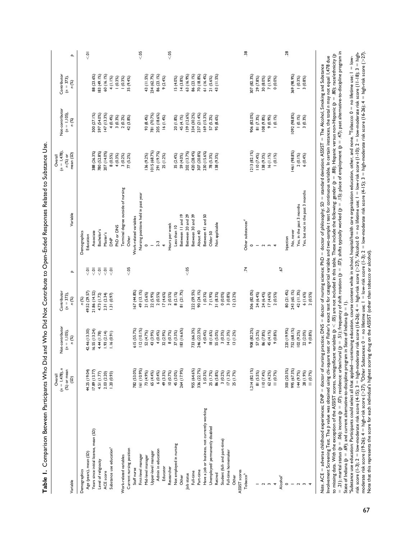|                                               | $(n = 1,478), n$<br>Overall | Not-contributor | Contributor   |                |                                     | $(n = 1,478)$<br>Overall | Not-contributor | Contributor   |                |
|-----------------------------------------------|-----------------------------|-----------------|---------------|----------------|-------------------------------------|--------------------------|-----------------|---------------|----------------|
|                                               | (%) or mean                 | $(n = 1, 105),$ | $(n = 373),$  |                |                                     | n (%) or                 | $(n = 1, 105),$ | $(n = 373)$ , |                |
| Variable                                      | (SD)                        | n (%)           | n (%)         | $\mathbf{a}$   | Variable                            | mean (SD)                | n (%)           | n (%)         | $\mathbf{a}$   |
| Demographics                                  |                             |                 | n (%)         |                | Demographics                        |                          |                 |               |                |
| Age (years), mean (SD)                        | 44.25 (19.04)               | 42.46 (13.30)   | 49.52 (29.57) | $\overline{9}$ | Education                           |                          |                 |               | $\overline{Q}$ |
| Years since initial license, mean (SD)        | 17.89(13.77)                | 16.55(13.24)    | 21.86 (14.52) | $\overline{Q}$ | Associate                           | 388 (26.3%)              | 300 (27.1%)     | 88 (23.6%)    |                |
| Level of religiosity                          | 4.51 (1.77)                 | 4.44 (1.78)     | 4.73 (1.72)   | $\overline{5}$ | Bachelor's                          | 780 (52.8%)              | 597 (54.0%)     | 83 (49.1%)    |                |
| ACE score                                     | 2.03 (2.20)                 | .93(2.14)       | 2.31 (2.34)   | $\overline{Q}$ | Master's                            | 207 (14.0%)              | 47 (13.3%)      | 60 (16.1%)    |                |
| Substance use education <sup>a</sup>          | $(56.0)$ 0.2.1              | 1.16(0.91)      | (0.97)        | $\overline{5}$ | $\frac{P}{\Delta}$                  | 8(0.5%)                  | 4(0.4%          | 4 (1.1%)      |                |
|                                               |                             |                 |               |                | PhD or DNS                          | 4(0.3%)                  | 3(0.3%)         | $(0.3\%)$     |                |
| Work-related variables                        |                             |                 |               |                | Terminal degree outside of nursing  | 3(0.2%)                  | 2(0.2%)         | $(0.3\%)$     |                |
| Current nursing position                      |                             |                 |               | $\leqslant 05$ | Other                               | 77 (5.2%)                | 42 (3.8%)       | 35 (9.4%)     |                |
| Staff nurse                                   | 782 (53.0%)                 | 615 (55.7%)     | 67 (44.8%)    |                | Work-related variables              |                          |                 |               |                |
| First-level manager                           | 161 (10.9%)                 | 112(10.1%)      | 49 (13.1%)    |                | Nursing positions held in past year |                          |                 |               | < 05           |
| Mid-level manager                             | 73 (4.9%)                   | 52 (4.7%)       | 21 (5.6%)     |                | $\circ$                             | 136 (9.2%)               | 93 (8.4%)       | 43 (11.5%)    |                |
| Upper-level manager                           | 65 (4.4%)                   | 43 (3.9%)       | 22 (5.9%)     |                |                                     | 015 (68.7%)              | 781 (70.7%)     | 234 (62.7%)   |                |
| Admin in education                            | 6(0.4%)                     | 4(0.4%          | 2(0.5%)       |                | $2-3$                               | 291 (19.7%)              | 205 (18.6%)     | 86 (23.1%)    |                |
| Educator                                      | 49 (3.3%)                   | 32 (2.9%)       | 17(4.6%)      |                | $\overline{a}$                      | 25 (1.2%)                | 16(1.4%)        | 9(2.4%)       |                |
| Researcher                                    | 10(0.7%)                    | 8 (0.7%)        | 2(0.5%)       |                | Hours per week                      |                          |                 |               | & 05           |
| Not employed in nursing                       | 45 (3.0%)                   | 37(3.3%)        | 8(2.1%)       |                | Less than 10                        | 35 (2.4%)                | 20 (1.8%)       | 15 (4.0%)     |                |
| Other                                         | 264 (17.9%)                 | 83 (16.6%)      | 81 (21.7%)    |                | Between II and 19                   | 59 (4.0%)                | 45 (4.1%)       | 14(3.8%)      |                |
| Job status                                    |                             |                 |               | < 05           | Between 20 and 29                   | 202 (13.7%)              | 39 (12.6%)      | 63 (16.9%)    |                |
| Full-time                                     | 955 (64.6%)                 | 733 (66.3%)     | 222 (59.5%)   |                | Between 30 and 39                   | 420 (28.4%)              | 334 (30.2%)     | 86 (23.1%)    |                |
| Part-time                                     | 336 (22.7%)                 | 246 (22.3%)     | 90 (24.1%)    |                | About 40                            | 307 (20.8%)              | 237 (21.4%)     | 70 (18.8%)    |                |
| Have a job or business, not currently working | 5(0.3%)                     | 4(0.4%          | $(0.3\%)$     |                | Between 41 and 50                   | 230 (15.6%)              | 169 (15.3%)     | 61 (16.4%)    |                |
| Unemployed/ permanently disabled              | 25 (1.7%)                   | 18 (1.6%)       | 7 (1.9%)      |                | Older 50                            | 78 (5.3%)                | 57 (5.2%)       | $21(5.6\%)$   |                |
| Retired                                       | 86 (5.8%)                   | 55 (5.0%)       | 31 (8.3%)     |                | Not applicable                      | 38 (9.3%)                | 95 (8.6%)       | 43 (11.5%)    |                |
| Student (full- and part-time)                 | 3(0.2%)                     | 3(0.3%)         | $0(0.0\%)$    |                |                                     |                          |                 |               |                |
| Full-time homemaker                           | 17(1.2%)                    | 14(1.3%)        | 3(0.8%)       |                |                                     |                          |                 |               |                |
| Other                                         | 25 (1.7%)                   | 13(1.2%)        | (3.2%)        |                |                                     |                          |                 |               |                |
| ASSIST scores                                 |                             |                 |               |                |                                     |                          |                 |               |                |
| Tobaccob                                      |                             |                 |               | $\ddot{z}$     | Other substances <sup>d</sup>       |                          |                 |               | $\ddot{38}$    |
|                                               | 1,214(82.1%                 | 908 (82.2%)     | 306 (82.0%)   |                | $\circ$                             | (1213 (82.1%)            | 906 (82.0%)     | 307 (82.3%)   |                |
|                                               | 81 (5.5%)                   | 57 (5.2%)       | 24 (6.4%)     |                |                                     | 110(7.4%)                | 81 (7.3%)       | 29 (7.8%)     |                |
|                                               | 110(7.4%)                   | 86 (7.8%)       | 24 (6.4%)     |                | $\sim$                              | 138 (9.3%)               | (88 (9.8%)      | 30 (8.0%)     |                |
| $\overline{\phantom{a}}$                      | 62 (4.2%)                   | 45 (4.1%)       | 17(4.6%)      |                | $\sim$                              | 16 (1.1%)                | $(9, 0.9\%)$    | 7 (1.9%)      |                |
|                                               | 11(0.7%)                    | 9(0.8%)         | 2(0.5%)       |                | $\overline{\phantom{a}}$            | $(0.1\%)$                | $(0.1\%)$       | 0(0.0%)       |                |
| Alcohol <sup>c</sup>                          |                             |                 |               | 59.            |                                     |                          |                 |               |                |
| $\circ$                                       | 300 (20.3%)                 | 220 (19.9%)     | 80 (21.4%)    |                | Injection                           |                          |                 |               | 28             |
|                                               | 995 (67.3%)                 | 752 (68.1%)     | 243 (65.1%)   |                | No, never                           | 1461 (98.8%)             | 1092 (98.8%)    | 369 (98.9%)   |                |
|                                               | 144 (9.7%)                  | 102 (9.2%)      | 42 (11.3%)    |                | Yes, in the past 3 months           | $2(0.1\%)$               | $(0.1\%)$       | $(0.3\%)$     |                |
|                                               | 28 (1.9%)                   | 22 (2.0%)       | 6 (1.6%)      |                | Yes, but not in the past 3 months   | 6(0.4%                   | 3(0.3%)         | 3(0.8%)       |                |
|                                               | 11 (0.7%)                   | 9(0.8%)         | 2(0.5%)       |                |                                     |                          |                 |               |                |
|                                               |                             |                 |               |                |                                     |                          |                 |               |                |

Table 1. Comparison Between Participants Who Did and Who Did Not Contribute to Open-Ended Responses Related to Substance Use. **Table 1.** Comparison Between Participants Who Did and Who Did Not Contribute to Open-Ended Responses Related to Substance Use.

= .21); marital status (ρ = .06); income (ρ = .07); residence: urban/rural (ρ = .51); frequency of shift rotation (ρ = .07); shifts typically worked (ρ = .15); place of employment (ρ = .47); past alternative-to-disciplin = .21); marital status (p = .06); income (p = .07); residence: urban/rural (p = .5) ; frequency of shift rotation (p = .07); shifts typically worked (p = .15); place of employment (p = .47); past alternative-to-discipline to missing data. With the exception of the ASSIST scores, nonsignificant variables ( $p < .05$ ) are not included in this table. These include the following; gender (p = .88); Hispanic versus non-Hispanic (p = .80); race/ethn to missing data. With the exception of the ASSIT scores, nonsignificant variables ( $p < 0$ S) are not included in this table. These include the following; gender ( $p = .88$ ); Hispanic versus non-Hispanic ( $p = .80$ ); race/ethni Involvement Screening Test. The p value was obtained using chi-square test or Fisher's exact test for categorical variable and two-sample t test for continuous variable. In certain instances, the total n may not equal 1.47 Involvement Screening Test. The p value was obtained using chi-square test or Fisher's exact test for categorical variable and two-sample t test for continuous variable. In certain instances, the total n may not equal 1,47 Note. ACE = adverse childhood experiences; DNP = doctor of nursing practice; DNS = doctor of philosophy; *SD* = standard deviation; ASSIST = The Alcohol, Smoking and Substance Note. ACE = adverse childhood experiences; DNP = doctor of nursing practice; DNS = doctor of nursing science; PhD = doctor of philosophy; SD = standard deviation; ASSIST = The Alcohol, Smoking and Substance State of Indiana ( $p = .69$ ); and current alternative-to-discipline program in State of Indiana ( $p = 1$ ). State of Indiana (*p* = .69); and current alternative-to-discipline program in State of Indiana (*p* = 1).

"Substance use education: Participants could select all that applied—continuing education, course content while in school, hospital/health care organization education, other, and none. "Tobacco: 0 = no lifetime use; I = l moderate risk score (19-26); 4 = high-risk score (>27). dOther Substances: 0 = no lifetime use; 1 = low-risk score (1-3); 2 = low-moderate risk score (4-15); 3 = high-moderate risk score (16-26); 4 = high-risk score (>27). risk score (1-3); 2 = low-moderate risk score (4-15); 3 = high-moderate risk score (16-26); 4 = high-risk score (227). 'Alcohol: 0 = no lifetime use; 1 = low-risk score (1-10); 2 = low-moderate risk score (11-18); 3 = hig aSubstance use education: Participants could select all that applied—continuing education, course content while in school, hospital/health care organization education, other, and none. bTobacco: 0 = no lifetime use; 1 = low-Note that this represents the score for each individual's highest scoring drug on the ASSIST (other than tobacco or alcohol). Note that this represents the score for each individual's highest scoring drug on the ASSIST (other than tobacco or alcohol).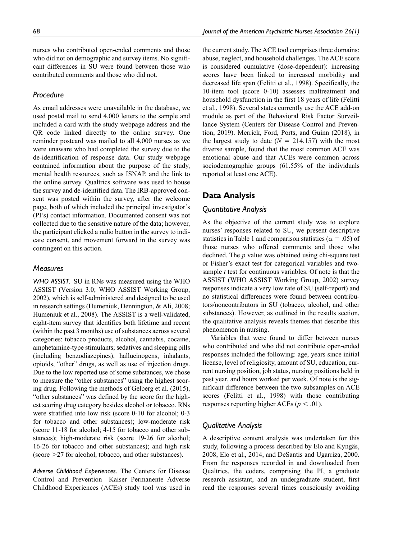nurses who contributed open-ended comments and those who did not on demographic and survey items. No significant differences in SU were found between those who contributed comments and those who did not.

### *Procedure*

As email addresses were unavailable in the database, we used postal mail to send 4,000 letters to the sample and included a card with the study webpage address and the QR code linked directly to the online survey. One reminder postcard was mailed to all 4,000 nurses as we were unaware who had completed the survey due to the de-identification of response data. Our study webpage contained information about the purpose of the study, mental health resources, such as ISNAP, and the link to the online survey. Qualtrics software was used to house the survey and de-identified data. The IRB-approved consent was posted within the survey, after the welcome page, both of which included the principal investigator's (PI's) contact information. Documented consent was not collected due to the sensitive nature of the data; however, the participant clicked a radio button in the survey to indicate consent, and movement forward in the survey was contingent on this action.

### *Measures*

*WHO ASSIST.* SU in RNs was measured using the WHO ASSIST (Version 3.0; WHO ASSIST Working Group, 2002), which is self-administered and designed to be used in research settings (Humeniuk, Dennington, & Ali, 2008; Humeniuk et al., 2008). The ASSIST is a well-validated, eight-item survey that identifies both lifetime and recent (within the past 3 months) use of substances across several categories: tobacco products, alcohol, cannabis, cocaine, amphetamine-type stimulants; sedatives and sleeping pills (including benzodiazepines), hallucinogens, inhalants, opioids, "other" drugs, as well as use of injection drugs. Due to the low reported use of some substances, we chose to measure the "other substances" using the highest scoring drug. Following the methods of Gelberg et al. (2015), "other substances" was defined by the score for the highest scoring drug category besides alcohol or tobacco. RNs were stratified into low risk (score 0-10 for alcohol; 0-3 for tobacco and other substances); low-moderate risk (score 11-18 for alcohol; 4-15 for tobacco and other substances); high-moderate risk (score 19-26 for alcohol; 16-26 for tobacco and other substances); and high risk (score >27 for alcohol, tobacco, and other substances).

*Adverse Childhood Experiences.* The Centers for Disease Control and Prevention—Kaiser Permanente Adverse Childhood Experiences (ACEs) study tool was used in the current study. The ACE tool comprises three domains: abuse, neglect, and household challenges. The ACE score is considered cumulative (dose-dependent): increasing scores have been linked to increased morbidity and decreased life span (Felitti et al., 1998). Specifically, the 10-item tool (score 0-10) assesses maltreatment and household dysfunction in the first 18 years of life (Felitti et al., 1998). Several states currently use the ACE add-on module as part of the Behavioral Risk Factor Surveillance System (Centers for Disease Control and Prevention, 2019). Merrick, Ford, Ports, and Guinn (2018), in the largest study to date  $(N = 214,157)$  with the most diverse sample, found that the most common ACE was emotional abuse and that ACEs were common across sociodemographic groups (61.55% of the individuals reported at least one ACE).

### **Data Analysis**

### *Quantitative Analysis*

As the objective of the current study was to explore nurses' responses related to SU, we present descriptive statistics in Table 1 and comparison statistics ( $\alpha = .05$ ) of those nurses who offered comments and those who declined. The *p* value was obtained using chi-square test or Fisher's exact test for categorical variables and twosample *t* test for continuous variables. Of note is that the ASSIST (WHO ASSIST Working Group, 2002) survey responses indicate a very low rate of SU (self-report) and no statistical differences were found between contributors/noncontributors in SU (tobacco, alcohol, and other substances). However, as outlined in the results section, the qualitative analysis reveals themes that describe this phenomenon in nursing.

Variables that were found to differ between nurses who contributed and who did not contribute open-ended responses included the following: age, years since initial license, level of religiosity, amount of SU, education, current nursing position, job status, nursing positions held in past year, and hours worked per week. Of note is the significant difference between the two subsamples on ACE scores (Felitti et al., 1998) with those contributing responses reporting higher ACEs ( $p < .01$ ).

### *Qualitative Analysis*

A descriptive content analysis was undertaken for this study, following a process described by Elo and Kyngäs, 2008, Elo et al., 2014, and DeSantis and Ugarriza, 2000. From the responses recorded in and downloaded from Qualtrics, the coders, comprising the PI, a graduate research assistant, and an undergraduate student, first read the responses several times consciously avoiding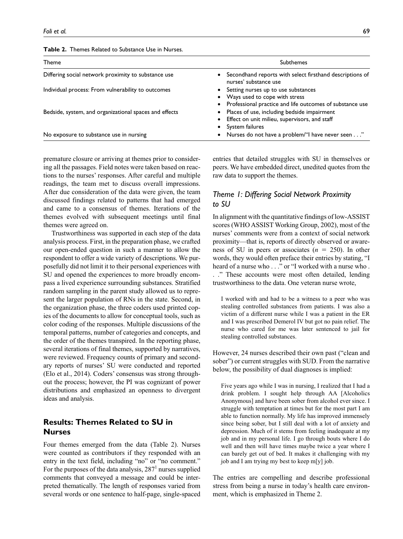| Theme                                                  | <b>Subthemes</b>                                                                                                                 |
|--------------------------------------------------------|----------------------------------------------------------------------------------------------------------------------------------|
| Differing social network proximity to substance use    | Secondhand reports with select firsthand descriptions of<br>nurses' substance use                                                |
| Individual process: From vulnerability to outcomes     | Setting nurses up to use substances<br>Ways used to cope with stress<br>Professional practice and life outcomes of substance use |
| Bedside, system, and organizational spaces and effects | • Places of use, including bedside impairment<br>Effect on unit milieu, supervisors, and staff<br>System failures                |
| No exposure to substance use in nursing                | Nurses do not have a problem/"I have never seen"                                                                                 |

| <b>Table 2.</b> Themes Related to Substance Use in Nurses. |  |
|------------------------------------------------------------|--|
|------------------------------------------------------------|--|

premature closure or arriving at themes prior to considering all the passages. Field notes were taken based on reactions to the nurses' responses. After careful and multiple readings, the team met to discuss overall impressions. After due consideration of the data were given, the team discussed findings related to patterns that had emerged and came to a consensus of themes. Iterations of the themes evolved with subsequent meetings until final themes were agreed on.

Trustworthiness was supported in each step of the data analysis process. First, in the preparation phase, we crafted our open-ended question in such a manner to allow the respondent to offer a wide variety of descriptions. We purposefully did not limit it to their personal experiences with SU and opened the experiences to more broadly encompass a lived experience surrounding substances. Stratified random sampling in the parent study allowed us to represent the larger population of RNs in the state. Second, in the organization phase, the three coders used printed copies of the documents to allow for conceptual tools, such as color coding of the responses. Multiple discussions of the temporal patterns, number of categories and concepts, and the order of the themes transpired. In the reporting phase, several iterations of final themes, supported by narratives, were reviewed. Frequency counts of primary and secondary reports of nurses' SU were conducted and reported (Elo et al., 2014). Coders' consensus was strong throughout the process; however, the PI was cognizant of power distributions and emphasized an openness to divergent ideas and analysis.

# **Results: Themes Related to SU in Nurses**

Four themes emerged from the data (Table 2). Nurses were counted as contributors if they responded with an entry in the text field, including "no" or "no comment." For the purposes of the data analysis,  $287<sup>1</sup>$  nurses supplied comments that conveyed a message and could be interpreted thematically. The length of responses varied from several words or one sentence to half-page, single-spaced

entries that detailed struggles with SU in themselves or peers. We have embedded direct, unedited quotes from the raw data to support the themes.

### *Theme 1: Differing Social Network Proximity to SU*

In alignment with the quantitative findings of low-ASSIST scores (WHO ASSIST Working Group, 2002), most of the nurses' comments were from a context of social network proximity—that is, reports of directly observed or awareness of SU in peers or associates (*n* = 250). In other words, they would often preface their entries by stating, "I heard of a nurse who . . ." or "I worked with a nurse who . . ." These accounts were most often detailed, lending trustworthiness to the data. One veteran nurse wrote,

I worked with and had to be a witness to a peer who was stealing controlled substances from patients. I was also a victim of a different nurse while I was a patient in the ER and I was prescribed Demerol IV but got no pain relief. The nurse who cared for me was later sentenced to jail for stealing controlled substances.

However, 24 nurses described their own past ("clean and sober") or current struggles with SUD. From the narrative below, the possibility of dual diagnoses is implied:

Five years ago while I was in nursing, I realized that I had a drink problem. I sought help through AA [Alcoholics Anonymous] and have been sober from alcohol ever since. I struggle with temptation at times but for the most part I am able to function normally. My life has improved immensely since being sober, but I still deal with a lot of anxiety and depression. Much of it stems from feeling inadequate at my job and in my personal life. I go through bouts where I do well and then will have times maybe twice a year where I can barely get out of bed. It makes it challenging with my job and I am trying my best to keep m[y] job.

The entries are compelling and describe professional stress from being a nurse in today's health care environment, which is emphasized in Theme 2.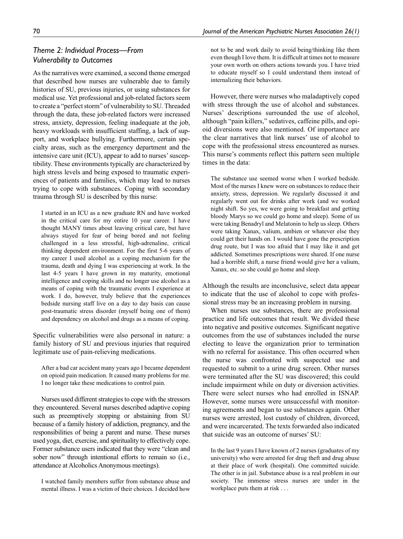# *Theme 2: Individual Process—From Vulnerability to Outcomes*

As the narratives were examined, a second theme emerged that described how nurses are vulnerable due to family histories of SU, previous injuries, or using substances for medical use. Yet professional and job-related factors seem to create a "perfect storm" of vulnerability to SU. Threaded through the data, these job-related factors were increased stress, anxiety, depression, feeling inadequate at the job, heavy workloads with insufficient staffing, a lack of support, and workplace bullying. Furthermore, certain specialty areas, such as the emergency department and the intensive care unit (ICU), appear to add to nurses' susceptibility. These environments typically are characterized by high stress levels and being exposed to traumatic experiences of patients and families, which may lead to nurses trying to cope with substances. Coping with secondary trauma through SU is described by this nurse:

I started in an ICU as a new graduate RN and have worked in the critical care for my entire 10 year career. I have thought MANY times about leaving critical care, but have always stayed for fear of being bored and not feeling challenged in a less stressful, high-adrenaline, critical thinking dependent environment. For the first 5-6 years of my career I used alcohol as a coping mechanism for the trauma, death and dying I was experiencing at work. In the last 4-5 years I have grown in my maturity, emotional intelligence and coping skills and no longer use alcohol as a means of coping with the traumatic events I experience at work. I do, however, truly believe that the experiences bedside nursing staff live on a day to day basis can cause post-traumatic stress disorder (myself being one of them) and dependency on alcohol and drugs as a means of coping.

Specific vulnerabilities were also personal in nature: a family history of SU and previous injuries that required legitimate use of pain-relieving medications.

After a bad car accident many years ago I became dependent on opioid pain medication. It caused many problems for me. I no longer take these medications to control pain.

Nurses used different strategies to cope with the stressors they encountered. Several nurses described adaptive coping such as preemptively stopping or abstaining from SU because of a family history of addiction, pregnancy, and the responsibilities of being a parent and nurse. These nurses used yoga, diet, exercise, and spirituality to effectively cope. Former substance users indicated that they were "clean and sober now" through intentional efforts to remain so (i.e., attendance at Alcoholics Anonymous meetings).

I watched family members suffer from substance abuse and mental illness. I was a victim of their choices. I decided how not to be and work daily to avoid being/thinking like them even though I love them. It is difficult at times not to measure your own worth on others actions towards you. I have tried to educate myself so I could understand them instead of internalizing their behaviors.

However, there were nurses who maladaptively coped with stress through the use of alcohol and substances. Nurses' descriptions surrounded the use of alcohol, although "pain killers," sedatives, caffeine pills, and opioid diversions were also mentioned. Of importance are the clear narratives that link nurses' use of alcohol to cope with the professional stress encountered as nurses. This nurse's comments reflect this pattern seen multiple times in the data:

The substance use seemed worse when I worked bedside. Most of the nurses I knew were on substances to reduce their anxiety, stress, depression. We regularly discussed it and regularly went out for drinks after work (and we worked night shift. So yes, we were going to breakfast and getting bloody Marys so we could go home and sleep). Some of us were taking Benadryl and Melatonin to help us sleep. Others were taking Xanax, valium, ambien or whatever else they could get their hands on. I would have gone the prescription drug route, but I was too afraid that I may like it and get addicted. Sometimes prescriptions were shared. If one nurse had a horrible shift, a nurse friend would give her a valium, Xanax, etc. so she could go home and sleep.

Although the results are inconclusive, select data appear to indicate that the use of alcohol to cope with professional stress may be an increasing problem in nursing.

When nurses use substances, there are professional practice and life outcomes that result. We divided these into negative and positive outcomes. Significant negative outcomes from the use of substances included the nurse electing to leave the organization prior to termination with no referral for assistance. This often occurred when the nurse was confronted with suspected use and requested to submit to a urine drug screen. Other nurses were terminated after the SU was discovered; this could include impairment while on duty or diversion activities. There were select nurses who had enrolled in ISNAP. However, some nurses were unsuccessful with monitoring agreements and began to use substances again. Other nurses were arrested, lost custody of children, divorced, and were incarcerated. The texts forwarded also indicated that suicide was an outcome of nurses' SU:

In the last 9 years I have known of 2 nurses (graduates of my university) who were arrested for drug theft and drug abuse at their place of work (hospital). One committed suicide. The other is in jail. Substance abuse is a real problem in our society. The immense stress nurses are under in the workplace puts them at risk . . .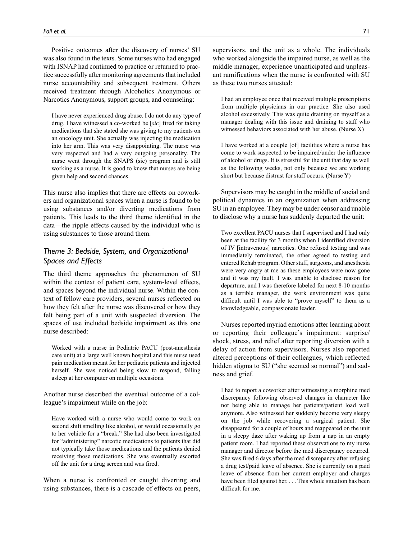Positive outcomes after the discovery of nurses' SU was also found in the texts. Some nurses who had engaged with ISNAP had continued to practice or returned to practice successfully after monitoring agreements that included nurse accountability and subsequent treatment. Others received treatment through Alcoholics Anonymous or Narcotics Anonymous, support groups, and counseling:

I have never experienced drug abuse. I do not do any type of drug. I have witnessed a co-worked be [*sic*] fired for taking medications that she stated she was giving to my patients on an oncology unit. She actually was injecting the medication into her arm. This was very disappointing. The nurse was very respected and had a very outgoing personality. The nurse went through the SNAPS (sic) program and is still working as a nurse. It is good to know that nurses are being given help and second chances.

This nurse also implies that there are effects on coworkers and organizational spaces when a nurse is found to be using substances and/or diverting medications from patients. This leads to the third theme identified in the data—the ripple effects caused by the individual who is using substances to those around them.

# *Theme 3: Bedside, System, and Organizational Spaces and Effects*

The third theme approaches the phenomenon of SU within the context of patient care, system-level effects, and spaces beyond the individual nurse. Within the context of fellow care providers, several nurses reflected on how they felt after the nurse was discovered or how they felt being part of a unit with suspected diversion. The spaces of use included bedside impairment as this one nurse described:

Worked with a nurse in Pediatric PACU (post-anesthesia care unit) at a large well known hospital and this nurse used pain medication meant for her pediatric patients and injected herself. She was noticed being slow to respond, falling asleep at her computer on multiple occasions.

Another nurse described the eventual outcome of a colleague's impairment while on the job:

Have worked with a nurse who would come to work on second shift smelling like alcohol, or would occasionally go to her vehicle for a "break." She had also been investigated for "administering" narcotic medications to patients that did not typically take those medications and the patients denied receiving those medications. She was eventually escorted off the unit for a drug screen and was fired.

When a nurse is confronted or caught diverting and using substances, there is a cascade of effects on peers,

supervisors, and the unit as a whole. The individuals who worked alongside the impaired nurse, as well as the middle manager, experience unanticipated and unpleasant ramifications when the nurse is confronted with SU as these two nurses attested:

I had an employee once that received multiple prescriptions from multiple physicians in our practice. She also used alcohol excessively. This was quite draining on myself as a manager dealing with this issue and draining to staff who witnessed behaviors associated with her abuse. (Nurse X)

I have worked at a couple [of] facilities where a nurse has come to work suspected to be impaired/under the influence of alcohol or drugs. It is stressful for the unit that day as well as the following weeks, not only because we are working short but because distrust for staff occurs. (Nurse Y)

Supervisors may be caught in the middle of social and political dynamics in an organization when addressing SU in an employee. They may be under censor and unable to disclose why a nurse has suddenly departed the unit:

Two excellent PACU nurses that I supervised and I had only been at the facility for 3 months when I identified diversion of IV [intravenous] narcotics. One refused testing and was immediately terminated, the other agreed to testing and entered Rehab program. Other staff, surgeons, and anesthesia were very angry at me as these employees were now gone and it was my fault. I was unable to disclose reason for departure, and I was therefore labeled for next 8-10 months as a terrible manager, the work environment was quite difficult until I was able to "prove myself" to them as a knowledgeable, compassionate leader.

Nurses reported myriad emotions after learning about or reporting their colleague's impairment: surprise/ shock, stress, and relief after reporting diversion with a delay of action from supervisors. Nurses also reported altered perceptions of their colleagues, which reflected hidden stigma to SU ("she seemed so normal") and sadness and grief.

I had to report a coworker after witnessing a morphine med discrepancy following observed changes in character like not being able to manage her patients/patient load well anymore. Also witnessed her suddenly become very sleepy on the job while recovering a surgical patient. She disappeared for a couple of hours and reappeared on the unit in a sleepy daze after waking up from a nap in an empty patient room. I had reported these observations to my nurse manager and director before the med discrepancy occurred. She was fired 6 days after the med discrepancy after refusing a drug test/paid leave of absence. She is currently on a paid leave of absence from her current employer and charges have been filed against her. . . . This whole situation has been difficult for me.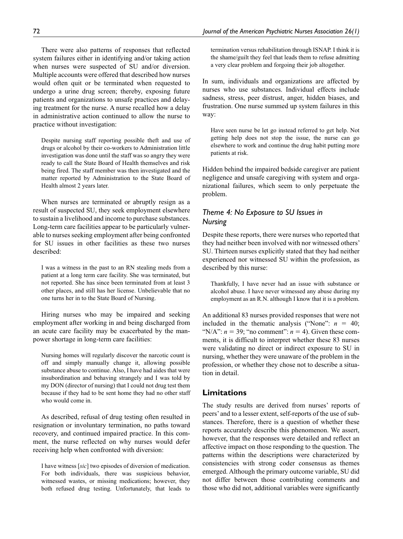There were also patterns of responses that reflected system failures either in identifying and/or taking action when nurses were suspected of SU and/or diversion. Multiple accounts were offered that described how nurses would often quit or be terminated when requested to undergo a urine drug screen; thereby, exposing future patients and organizations to unsafe practices and delaying treatment for the nurse. A nurse recalled how a delay in administrative action continued to allow the nurse to practice without investigation:

Despite nursing staff reporting possible theft and use of drugs or alcohol by their co-workers to Administration little investigation was done until the staff was so angry they were ready to call the State Board of Health themselves and risk being fired. The staff member was then investigated and the matter reported by Administration to the State Board of Health almost 2 years later.

When nurses are terminated or abruptly resign as a result of suspected SU, they seek employment elsewhere to sustain a livelihood and income to purchase substances. Long-term care facilities appear to be particularly vulnerable to nurses seeking employment after being confronted for SU issues in other facilities as these two nurses described:

I was a witness in the past to an RN stealing meds from a patient at a long term care facility. She was terminated, but not reported. She has since been terminated from at least 3 other places, and still has her license. Unbelievable that no one turns her in to the State Board of Nursing.

Hiring nurses who may be impaired and seeking employment after working in and being discharged from an acute care facility may be exacerbated by the manpower shortage in long-term care facilities:

Nursing homes will regularly discover the narcotic count is off and simply manually change it, allowing possible substance abuse to continue. Also, I have had aides that were insubordination and behaving strangely and I was told by my DON (director of nursing) that I could not drug test them because if they had to be sent home they had no other staff who would come in.

As described, refusal of drug testing often resulted in resignation or involuntary termination, no paths toward recovery, and continued impaired practice. In this comment, the nurse reflected on why nurses would defer receiving help when confronted with diversion:

I have witness [*sic*] two episodes of diversion of medication. For both individuals, there was suspicious behavior, witnessed wastes, or missing medications; however, they both refused drug testing. Unfortunately, that leads to termination versus rehabilitation through ISNAP. I think it is the shame/guilt they feel that leads them to refuse admitting a very clear problem and forgoing their job altogether.

In sum, individuals and organizations are affected by nurses who use substances. Individual effects include sadness, stress, peer distrust, anger, hidden biases, and frustration. One nurse summed up system failures in this way:

Have seen nurse be let go instead referred to get help. Not getting help does not stop the issue, the nurse can go elsewhere to work and continue the drug habit putting more patients at risk.

Hidden behind the impaired bedside caregiver are patient negligence and unsafe caregiving with system and organizational failures, which seem to only perpetuate the problem.

# *Theme 4: No Exposure to SU Issues in Nursing*

Despite these reports, there were nurses who reported that they had neither been involved with nor witnessed others' SU. Thirteen nurses explicitly stated that they had neither experienced nor witnessed SU within the profession, as described by this nurse:

Thankfully, I have never had an issue with substance or alcohol abuse. I have never witnessed any abuse during my employment as an R.N. although I know that it is a problem.

An additional 83 nurses provided responses that were not included in the thematic analysis ("None":  $n = 40$ ; "N/A":  $n = 39$ ; "no comment":  $n = 4$ ). Given these comments, it is difficult to interpret whether these 83 nurses were validating no direct or indirect exposure to SU in nursing, whether they were unaware of the problem in the profession, or whether they chose not to describe a situation in detail.

### **Limitations**

The study results are derived from nurses' reports of peers' and to a lesser extent, self-reports of the use of substances. Therefore, there is a question of whether these reports accurately describe this phenomenon. We assert, however, that the responses were detailed and reflect an affective impact on those responding to the question. The patterns within the descriptions were characterized by consistencies with strong coder consensus as themes emerged. Although the primary outcome variable, SU did not differ between those contributing comments and those who did not, additional variables were significantly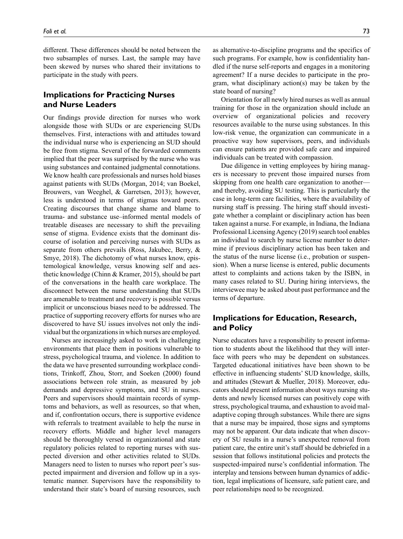different. These differences should be noted between the two subsamples of nurses. Last, the sample may have been skewed by nurses who shared their invitations to participate in the study with peers.

# **Implications for Practicing Nurses and Nurse Leaders**

Our findings provide direction for nurses who work alongside those with SUDs or are experiencing SUDs themselves. First, interactions with and attitudes toward the individual nurse who is experiencing an SUD should be free from stigma. Several of the forwarded comments implied that the peer was surprised by the nurse who was using substances and contained judgmental connotations. We know health care professionals and nurses hold biases against patients with SUDs (Morgan, 2014; van Boekel, Brouwers, van Weeghel, & Garretsen, 2013); however, less is understood in terms of stigmas toward peers. Creating discourses that change shame and blame to trauma- and substance use–informed mental models of treatable diseases are necessary to shift the prevailing sense of stigma. Evidence exists that the dominant discourse of isolation and perceiving nurses with SUDs as separate from others prevails (Ross, Jakubec, Berry, & Smye, 2018). The dichotomy of what nurses know, epistemological knowledge, versus knowing self and aesthetic knowledge (Chinn & Kramer, 2015), should be part of the conversations in the health care workplace. The disconnect between the nurse understanding that SUDs are amenable to treatment and recovery is possible versus implicit or unconscious biases need to be addressed. The practice of supporting recovery efforts for nurses who are discovered to have SU issues involves not only the individual but the organizations in which nurses are employed.

Nurses are increasingly asked to work in challenging environments that place them in positions vulnerable to stress, psychological trauma, and violence. In addition to the data we have presented surrounding workplace conditions, Trinkoff, Zhou, Storr, and Soeken (2000) found associations between role strain, as measured by job demands and depressive symptoms, and SU in nurses. Peers and supervisors should maintain records of symptoms and behaviors, as well as resources, so that when, and if, confrontation occurs, there is supportive evidence with referrals to treatment available to help the nurse in recovery efforts. Middle and higher level managers should be thoroughly versed in organizational and state regulatory policies related to reporting nurses with suspected diversion and other activities related to SUDs. Managers need to listen to nurses who report peer's suspected impairment and diversion and follow up in a systematic manner. Supervisors have the responsibility to understand their state's board of nursing resources, such

as alternative-to-discipline programs and the specifics of such programs. For example, how is confidentiality handled if the nurse self-reports and engages in a monitoring agreement? If a nurse decides to participate in the program, what disciplinary action(s) may be taken by the state board of nursing?

Orientation for all newly hired nurses as well as annual training for those in the organization should include an overview of organizational policies and recovery resources available to the nurse using substances. In this low-risk venue, the organization can communicate in a proactive way how supervisors, peers, and individuals can ensure patients are provided safe care and impaired individuals can be treated with compassion.

Due diligence in vetting employees by hiring managers is necessary to prevent those impaired nurses from skipping from one health care organization to another and thereby, avoiding SU testing. This is particularly the case in long-term care facilities, where the availability of nursing staff is pressing. The hiring staff should investigate whether a complaint or disciplinary action has been taken against a nurse. For example, in Indiana, the Indiana Professional Licensing Agency (2019) search tool enables an individual to search by nurse license number to determine if previous disciplinary action has been taken and the status of the nurse license (i.e., probation or suspension). When a nurse license is entered, public documents attest to complaints and actions taken by the ISBN, in many cases related to SU. During hiring interviews, the interviewee may be asked about past performance and the terms of departure.

# **Implications for Education, Research, and Policy**

Nurse educators have a responsibility to present information to students about the likelihood that they will interface with peers who may be dependent on substances. Targeted educational initiatives have been shown to be effective in influencing students' SUD knowledge, skills, and attitudes (Stewart & Mueller, 2018). Moreover, educators should present information about ways nursing students and newly licensed nurses can positively cope with stress, psychological trauma, and exhaustion to avoid maladaptive coping through substances. While there are signs that a nurse may be impaired, those signs and symptoms may not be apparent. Our data indicate that when discovery of SU results in a nurse's unexpected removal from patient care, the entire unit's staff should be debriefed in a session that follows institutional policies and protects the suspected-impaired nurse's confidential information. The interplay and tensions between human dynamics of addiction, legal implications of licensure, safe patient care, and peer relationships need to be recognized.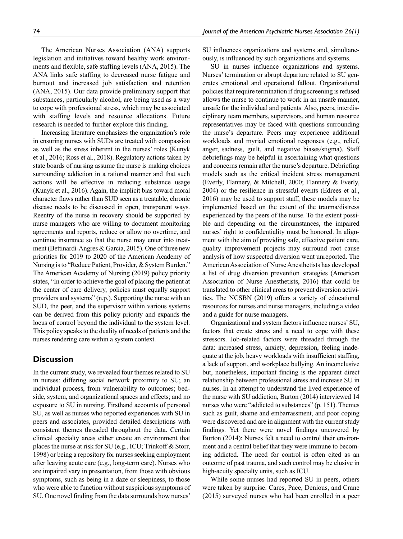The American Nurses Association (ANA) supports legislation and initiatives toward healthy work environments and flexible, safe staffing levels (ANA, 2015). The ANA links safe staffing to decreased nurse fatigue and burnout and increased job satisfaction and retention (ANA, 2015). Our data provide preliminary support that substances, particularly alcohol, are being used as a way to cope with professional stress, which may be associated with staffing levels and resource allocations. Future research is needed to further explore this finding.

Increasing literature emphasizes the organization's role in ensuring nurses with SUDs are treated with compassion as well as the stress inherent in the nurses' roles (Kunyk et al., 2016; Ross et al., 2018). Regulatory actions taken by state boards of nursing assume the nurse is making choices surrounding addiction in a rational manner and that such actions will be effective in reducing substance usage (Kunyk et al., 2016). Again, the implicit bias toward moral character flaws rather than SUD seen as a treatable, chronic disease needs to be discussed in open, transparent ways. Reentry of the nurse in recovery should be supported by nurse managers who are willing to document monitoring agreements and reports, reduce or allow no overtime, and continue insurance so that the nurse may enter into treatment (Bettinardi-Angres & Garcia, 2015). One of three new priorities for 2019 to 2020 of the American Academy of Nursing is to "Reduce Patient, Provider, & System Burden." The American Academy of Nursing (2019) policy priority states, "In order to achieve the goal of placing the patient at the center of care delivery, policies must equally support providers and systems" (n.p.). Supporting the nurse with an SUD, the peer, and the supervisor within various systems can be derived from this policy priority and expands the locus of control beyond the individual to the system level. This policy speaks to the duality of needs of patients and the nurses rendering care within a system context.

### **Discussion**

In the current study, we revealed four themes related to SU in nurses: differing social network proximity to SU; an individual process, from vulnerability to outcomes; bedside, system, and organizational spaces and effects; and no exposure to SU in nursing. Firsthand accounts of personal SU, as well as nurses who reported experiences with SU in peers and associates, provided detailed descriptions with consistent themes threaded throughout the data. Certain clinical specialty areas either create an environment that places the nurse at risk for SU (e.g., ICU; Trinkoff & Storr, 1998) or being a repository for nurses seeking employment after leaving acute care (e.g., long-term care). Nurses who are impaired vary in presentation, from those with obvious symptoms, such as being in a daze or sleepiness, to those who were able to function without suspicious symptoms of SU. One novel finding from the data surrounds how nurses' SU influences organizations and systems and, simultaneously, is influenced by such organizations and systems.

SU in nurses influence organizations and systems. Nurses' termination or abrupt departure related to SU generates emotional and operational fallout. Organizational policies that require termination if drug screening is refused allows the nurse to continue to work in an unsafe manner, unsafe for the individual and patients. Also, peers, interdisciplinary team members, supervisors, and human resource representatives may be faced with questions surrounding the nurse's departure. Peers may experience additional workloads and myriad emotional responses (e.g., relief, anger, sadness, guilt, and negative biases/stigma). Staff debriefings may be helpful in ascertaining what questions and concerns remain after the nurse's departure. Debriefing models such as the critical incident stress management (Everly, Flannery, & Mitchell, 2000; Flannery & Everly, 2004) or the resilience in stressful events (Edrees et al., 2016) may be used to support staff; these models may be implemented based on the extent of the trauma/distress experienced by the peers of the nurse. To the extent possible and depending on the circumstances, the impaired nurses' right to confidentiality must be honored. In alignment with the aim of providing safe, effective patient care, quality improvement projects may surround root cause analysis of how suspected diversion went unreported. The American Association of Nurse Anesthetists has developed a list of drug diversion prevention strategies (American Association of Nurse Anesthetists, 2016) that could be translated to other clinical areas to prevent diversion activities. The NCSBN (2019) offers a variety of educational resources for nurses and nurse managers, including a video and a guide for nurse managers.

Organizational and system factors influence nurses' SU, factors that create stress and a need to cope with these stressors. Job-related factors were threaded through the data: increased stress, anxiety, depression, feeling inadequate at the job, heavy workloads with insufficient staffing, a lack of support, and workplace bullying. An inconclusive but, nonetheless, important finding is the apparent direct relationship between professional stress and increase SU in nurses. In an attempt to understand the lived experience of the nurse with SU addiction, Burton (2014) interviewed 14 nurses who were "addicted to substances" (p. 151). Themes such as guilt, shame and embarrassment, and poor coping were discovered and are in alignment with the current study findings. Yet there were novel findings uncovered by Burton (2014): Nurses felt a need to control their environment and a central belief that they were immune to becoming addicted. The need for control is often cited as an outcome of past trauma, and such control may be elusive in high-acuity specialty units, such as ICU.

While some nurses had reported SU in peers, others were taken by surprise. Cares, Pace, Denious, and Crane (2015) surveyed nurses who had been enrolled in a peer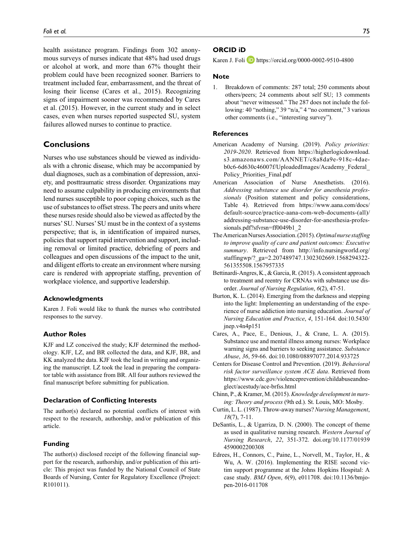health assistance program. Findings from 302 anonymous surveys of nurses indicate that 48% had used drugs or alcohol at work, and more than 67% thought their problem could have been recognized sooner. Barriers to treatment included fear, embarrassment, and the threat of losing their license (Cares et al., 2015). Recognizing signs of impairment sooner was recommended by Cares et al. (2015). However, in the current study and in select cases, even when nurses reported suspected SU, system failures allowed nurses to continue to practice.

### **Conclusions**

Nurses who use substances should be viewed as individuals with a chronic disease, which may be accompanied by dual diagnoses, such as a combination of depression, anxiety, and posttraumatic stress disorder. Organizations may need to assume culpability in producing environments that lend nurses susceptible to poor coping choices, such as the use of substances to offset stress. The peers and units where these nurses reside should also be viewed as affected by the nurses' SU. Nurses' SU must be in the context of a systems perspective; that is, in identification of impaired nurses, policies that support rapid intervention and support, including removal or limited practice, debriefing of peers and colleagues and open discussions of the impact to the unit, and diligent efforts to create an environment where nursing care is rendered with appropriate staffing, prevention of workplace violence, and supportive leadership.

#### **Acknowledgments**

Karen J. Foli would like to thank the nurses who contributed responses to the survey.

### **Author Roles**

KJF and LZ conceived the study; KJF determined the methodology. KJF, LZ, and BR collected the data, and KJF, BR, and KK analyzed the data. KJF took the lead in writing and organizing the manuscript. LZ took the lead in preparing the comparator table with assistance from BR. All four authors reviewed the final manuscript before submitting for publication.

### **Declaration of Conflicting Interests**

The author(s) declared no potential conflicts of interest with respect to the research, authorship, and/or publication of this article.

### **Funding**

The author(s) disclosed receipt of the following financial support for the research, authorship, and/or publication of this article: This project was funded by the National Council of State Boards of Nursing, Center for Regulatory Excellence (Project: R101011).

### **ORCID iD**

Karen J. Foli **D** <https://orcid.org/0000-0002-9510-4800>

#### **Note**

1. Breakdown of comments: 287 total; 250 comments about others/peers; 24 comments about self SU; 13 comments about "never witnessed." The 287 does not include the following: 40 "nothing," 39 "n/a," 4 "no comment," 3 various other comments (i.e., "interesting survey").

#### **References**

- American Academy of Nursing. (2019). *Policy priorities: 2019-2020*. Retrieved from [https://higherlogicdownload.](https://higherlogicdownload.s3.amazonaws.com/AANNET/c8a8da9e-918c-4dae-b0c6-6d630c46007f/UploadedImages/Academy_Federal_Policy_Priorities_Final.pdf) [s3.amazonaws.com/AANNET/c8a8da9e-918c-4dae](https://higherlogicdownload.s3.amazonaws.com/AANNET/c8a8da9e-918c-4dae-b0c6-6d630c46007f/UploadedImages/Academy_Federal_Policy_Priorities_Final.pdf)[b0c6-6d630c46007f/UploadedImages/Academy\\_Federal\\_](https://higherlogicdownload.s3.amazonaws.com/AANNET/c8a8da9e-918c-4dae-b0c6-6d630c46007f/UploadedImages/Academy_Federal_Policy_Priorities_Final.pdf) [Policy\\_Priorities\\_Final.pdf](https://higherlogicdownload.s3.amazonaws.com/AANNET/c8a8da9e-918c-4dae-b0c6-6d630c46007f/UploadedImages/Academy_Federal_Policy_Priorities_Final.pdf)
- American Association of Nurse Anesthetists. (2016). *Addressing substance use disorder for anesthesia professionals* (Position statement and policy considerations, Table 4). Retrieved from [https://www.aana.com/docs/](https://www.aana.com/docs/default-source/practice-aana-com-web-documents-(all)/addressing-substance-use-disorder-for-anesthesia-professionals.pdf?sfvrsn=ff0049b1_2) [default-source/practice-aana-com-web-documents-\(all\)/](https://www.aana.com/docs/default-source/practice-aana-com-web-documents-(all)/addressing-substance-use-disorder-for-anesthesia-professionals.pdf?sfvrsn=ff0049b1_2) [addressing-substance-use-disorder-for-anesthesia-profes](https://www.aana.com/docs/default-source/practice-aana-com-web-documents-(all)/addressing-substance-use-disorder-for-anesthesia-professionals.pdf?sfvrsn=ff0049b1_2)[sionals.pdf?sfvrsn=ff0049b1\\_2](https://www.aana.com/docs/default-source/practice-aana-com-web-documents-(all)/addressing-substance-use-disorder-for-anesthesia-professionals.pdf?sfvrsn=ff0049b1_2)
- The American Nurses Association. (2015). *Optimal nurse staffing to improve quality of care and patient outcomes: Executive summary*. Retrieved from [http://info.nursingworld.org/](http://info.nursingworld.org/staffingwp/?_ga=2.207489747.1302302669.1568294322-561355508.1567957335) [staffingwp/?\\_ga=2.207489747.1302302669.1568294322-](http://info.nursingworld.org/staffingwp/?_ga=2.207489747.1302302669.1568294322-561355508.1567957335) [561355508.1567957335](http://info.nursingworld.org/staffingwp/?_ga=2.207489747.1302302669.1568294322-561355508.1567957335)
- Bettinardi-Angres, K., & Garcia, R. (2015). A consistent approach to treatment and reentry for CRNAs with substance use disorder. *Journal of Nursing Regulation*, *6*(2), 47-51.
- Burton, K. L. (2014). Emerging from the darkness and stepping into the light: Implementing an understanding of the experience of nurse addiction into nursing education. *Journal of Nursing Education and Practice*, *4*, 151-164. doi:10.5430/ jnep.v4n4p151
- Cares, A., Pace, E., Denious, J., & Crane, L. A. (2015). Substance use and mental illness among nurses: Workplace warning signs and barriers to seeking assistance. *Substance Abuse*, *36*, 59-66. doi:10.1080/08897077.2014.933725
- Centers for Disease Control and Prevention. (2019). *Behavioral risk factor surveillance system ACE data*. Retrieved from [https://www.cdc.gov/violenceprevention/childabuseandne](https://www.cdc.gov/violenceprevention/childabuseandneglect/acestudy/ace-brfss.html)[glect/acestudy/ace-brfss.html](https://www.cdc.gov/violenceprevention/childabuseandneglect/acestudy/ace-brfss.html)
- Chinn, P., & Kramer, M. (2015). *Knowledge development in nursing: Theory and process* (9th ed.). St. Louis, MO: Mosby.
- Curtin, L. L. (1987). Throw-away nurses? *Nursing Management*, *18*(7), 7-11.
- DeSantis, L., & Ugarriza, D. N. (2000). The concept of theme as used in qualitative nursing research. *Western Journal of Nursing Research*, *22*, 351-372. doi.org/10.1177/01939 4590002200308
- Edrees, H., Connors, C., Paine, L., Norvell, M., Taylor, H., & Wu, A. W. (2016). Implementing the RISE second victim support programme at the Johns Hopkins Hospital: A case study. *BMJ Open*, *6*(9), e011708. doi:10.1136/bmjopen-2016-011708